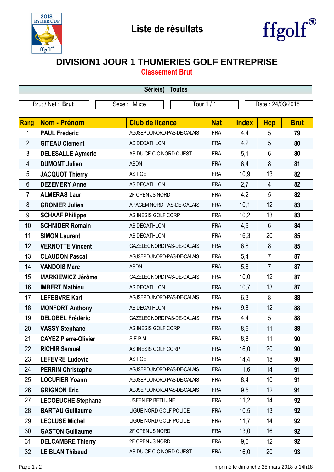



## **DIVISION1 JOUR 1 THUMERIES GOLF ENTREPRISE**

**Classement Brut**

| Série(s) : Toutes |                             |                            |            |              |                  |             |  |  |  |  |
|-------------------|-----------------------------|----------------------------|------------|--------------|------------------|-------------|--|--|--|--|
| Brut / Net: Brut  |                             | Sexe: Mixte                | Tour $1/1$ |              | Date: 24/03/2018 |             |  |  |  |  |
|                   |                             |                            |            |              |                  |             |  |  |  |  |
| <b>Rang</b>       | Nom - Prénom                | <b>Club de licence</b>     | <b>Nat</b> | <b>Index</b> | <b>Hcp</b>       | <b>Brut</b> |  |  |  |  |
| 1                 | <b>PAUL Frederic</b>        | AGJSEPDUNORD-PAS-DE-CALAIS | <b>FRA</b> | 4,4          | 5                | 79          |  |  |  |  |
| $\overline{2}$    | <b>GITEAU Clement</b>       | AS DECATHLON               | <b>FRA</b> | 4,2          | 5                | 80          |  |  |  |  |
| $\mathfrak{Z}$    | <b>DELESALLE Aymeric</b>    | AS DU CE CIC NORD OUEST    | <b>FRA</b> | 5,1          | $6\phantom{1}$   | 80          |  |  |  |  |
| 4                 | <b>DUMONT Julien</b>        | <b>ASDN</b>                | <b>FRA</b> | 6,4          | 8                | 81          |  |  |  |  |
| 5                 | <b>JACQUOT Thierry</b>      | AS PGE                     | <b>FRA</b> | 10,9         | 13               | 82          |  |  |  |  |
| $6\phantom{1}$    | <b>DEZEMERY Anne</b>        | AS DECATHLON               | <b>FRA</b> | 2,7          | $\overline{4}$   | 82          |  |  |  |  |
| 7                 | <b>ALMERAS Lauri</b>        | 2F OPEN JS NORD            | <b>FRA</b> | 4,2          | 5                | 82          |  |  |  |  |
| 8                 | <b>GRONIER Julien</b>       | APACEM NORD PAS-DE-CALAIS  | <b>FRA</b> | 10,1         | 12               | 83          |  |  |  |  |
| 9                 | <b>SCHAAF Philippe</b>      | AS INESIS GOLF CORP        | <b>FRA</b> | 10,2         | 13               | 83          |  |  |  |  |
| 10                | <b>SCHNIDER Romain</b>      | AS DECATHLON               | <b>FRA</b> | 4,9          | $6\phantom{1}$   | 84          |  |  |  |  |
| 11                | <b>SIMON Laurent</b>        | AS DECATHLON               | <b>FRA</b> | 16,3         | 20               | 85          |  |  |  |  |
| 12                | <b>VERNOTTE Vincent</b>     | GAZELEC NORD PAS-DE-CALAIS | <b>FRA</b> | 6,8          | 8                | 85          |  |  |  |  |
| 13                | <b>CLAUDON Pascal</b>       | AGJSEPDUNORD-PAS-DE-CALAIS | <b>FRA</b> | 5,4          | $\overline{7}$   | 87          |  |  |  |  |
| 14                | <b>VANDOIS Marc</b>         | <b>ASDN</b>                | <b>FRA</b> | 5,8          | $\overline{7}$   | 87          |  |  |  |  |
| 15                | <b>MARKIEWICZ Jérôme</b>    | GAZELEC NORD PAS-DE-CALAIS | <b>FRA</b> | 10,0         | 12               | 87          |  |  |  |  |
| 16                | <b>IMBERT Mathieu</b>       | AS DECATHLON               | <b>FRA</b> | 10,7         | 13               | 87          |  |  |  |  |
| 17                | <b>LEFEBVRE Karl</b>        | AGJSEPDUNORD-PAS-DE-CALAIS | <b>FRA</b> | 6,3          | 8                | 88          |  |  |  |  |
| 18                | <b>MONFORT Anthony</b>      | AS DECATHLON               | <b>FRA</b> | 9,8          | 12               | 88          |  |  |  |  |
| 19                | <b>DELOBEL Frédéric</b>     | GAZELEC NORD PAS-DE-CALAIS | <b>FRA</b> | 4,4          | 5                | 88          |  |  |  |  |
| 20                | <b>VASSY Stephane</b>       | AS INESIS GOLF CORP        | <b>FRA</b> | 8,6          | 11               | 88          |  |  |  |  |
| 21                | <b>CAYEZ Pierre-Olivier</b> | S.E.P.M.                   | <b>FRA</b> | 8,8          | 11               | 90          |  |  |  |  |
| 22                | <b>RICHIR Samuel</b>        | AS INESIS GOLF CORP        | <b>FRA</b> | 16,0         | 20               | 90          |  |  |  |  |
| 23                | <b>LEFEVRE Ludovic</b>      | AS PGE                     | <b>FRA</b> | 14,4         | 18               | 90          |  |  |  |  |
| 24                | <b>PERRIN Christophe</b>    | AGJSEPDUNORD-PAS-DE-CALAIS | <b>FRA</b> | 11,6         | 14               | 91          |  |  |  |  |
| 25                | <b>LOCUFIER Yoann</b>       | AGJSEPDUNORD-PAS-DE-CALAIS | <b>FRA</b> | 8,4          | 10               | 91          |  |  |  |  |
| 26                | <b>GRIGNON Eric</b>         | AGJSEPDUNORD-PAS-DE-CALAIS | <b>FRA</b> | 9,5          | 12               | 91          |  |  |  |  |
| 27                | <b>LECOEUCHE Stephane</b>   | USFEN FP BETHUNE           | <b>FRA</b> | 11,2         | 14               | 92          |  |  |  |  |
| 28                | <b>BARTAU Guillaume</b>     | LIGUE NORD GOLF POLICE     | <b>FRA</b> | 10,5         | 13               | 92          |  |  |  |  |
| 29                | <b>LECLUSE Michel</b>       | LIGUE NORD GOLF POLICE     | <b>FRA</b> | 11,7         | 14               | 92          |  |  |  |  |
| 30                | <b>GASTON Guillaume</b>     | 2F OPEN JS NORD            | <b>FRA</b> | 13,0         | 16               | 92          |  |  |  |  |
| 31                | <b>DELCAMBRE Thierry</b>    | 2F OPEN JS NORD            | <b>FRA</b> | 9,6          | 12               | 92          |  |  |  |  |
| 32                | <b>LE BLAN Thibaud</b>      | AS DU CE CIC NORD OUEST    | <b>FRA</b> | 16,0         | 20               | 93          |  |  |  |  |